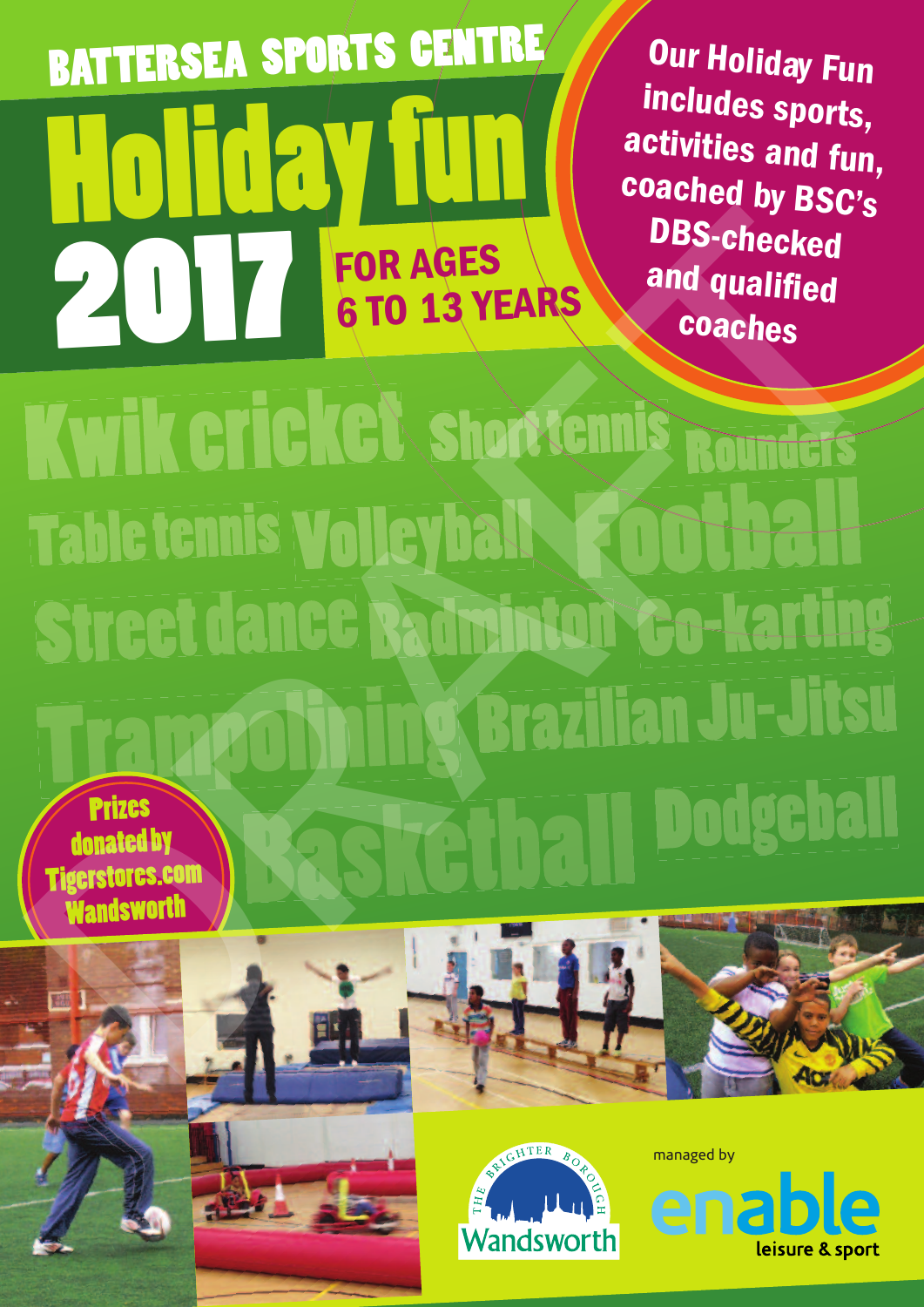# **BATTERSEA SPORTS CENTRE Holiday fun 2017 FOR AGES 6TO 13 YE 6 TO 13 YEARS**

**Our Holiday Fun includes sports, activities and fun, coached by BSC's DBS-checked and qualified coaches**

**Prizes donated by Kwik cricket shortennis Rounders<br>Table tennis Volleyball & OD thall<br>Street dance Badminton Co-karting<br>Trampetiying Brazilian Ju-Jitsu<br>Trampetiying Brazilian Ju-Jitsu** 

**Tigerstores.com Wandsworth**











managed by